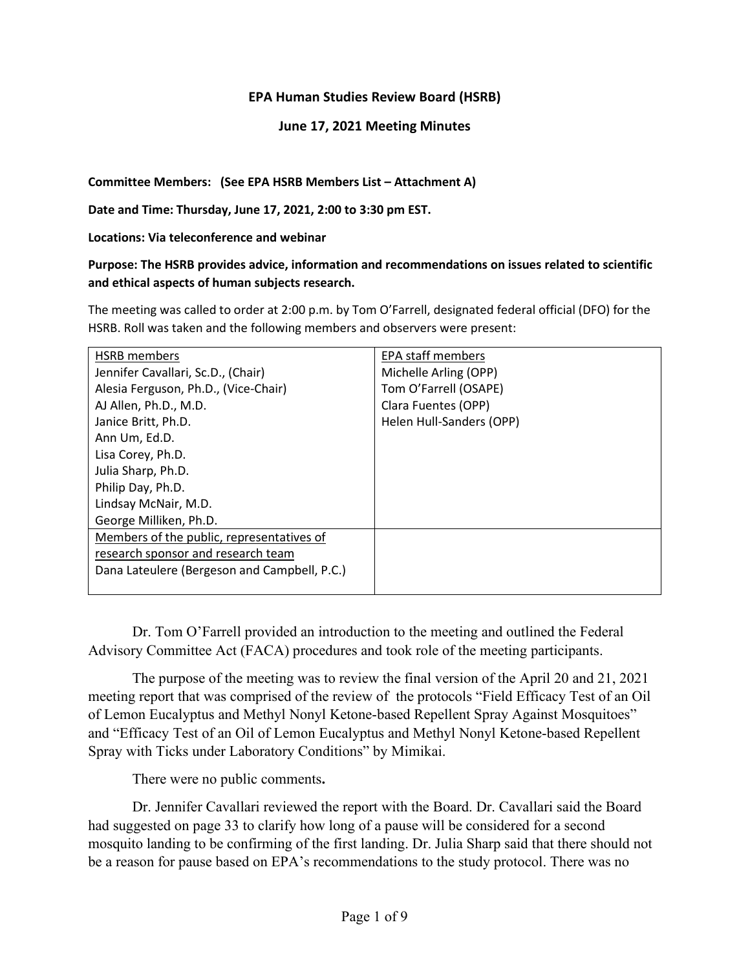#### **EPA Human Studies Review Board (HSRB)**

#### **June 17, 2021 Meeting Minutes**

**Committee Members: (See EPA HSRB Members List – Attachment A)**

**Date and Time: Thursday, June 17, 2021, 2:00 to 3:30 pm EST.**

**Locations: Via teleconference and webinar**

#### **Purpose: The HSRB provides advice, information and recommendations on issues related to scientific and ethical aspects of human subjects research.**

The meeting was called to order at 2:00 p.m. by Tom O'Farrell, designated federal official (DFO) for the HSRB. Roll was taken and the following members and observers were present:

| HSRB members                                 | <b>EPA staff members</b> |
|----------------------------------------------|--------------------------|
| Jennifer Cavallari, Sc.D., (Chair)           | Michelle Arling (OPP)    |
| Alesia Ferguson, Ph.D., (Vice-Chair)         | Tom O'Farrell (OSAPE)    |
| AJ Allen, Ph.D., M.D.                        | Clara Fuentes (OPP)      |
| Janice Britt, Ph.D.                          | Helen Hull-Sanders (OPP) |
| Ann Um, Ed.D.                                |                          |
| Lisa Corey, Ph.D.                            |                          |
| Julia Sharp, Ph.D.                           |                          |
| Philip Day, Ph.D.                            |                          |
| Lindsay McNair, M.D.                         |                          |
| George Milliken, Ph.D.                       |                          |
| Members of the public, representatives of    |                          |
| research sponsor and research team           |                          |
| Dana Lateulere (Bergeson and Campbell, P.C.) |                          |
|                                              |                          |

Dr. Tom O'Farrell provided an introduction to the meeting and outlined the Federal Advisory Committee Act (FACA) procedures and took role of the meeting participants.

The purpose of the meeting was to review the final version of the April 20 and 21, 2021 meeting report that was comprised of the review of the protocols "Field Efficacy Test of an Oil of Lemon Eucalyptus and Methyl Nonyl Ketone-based Repellent Spray Against Mosquitoes" and "Efficacy Test of an Oil of Lemon Eucalyptus and Methyl Nonyl Ketone-based Repellent Spray with Ticks under Laboratory Conditions" by Mimikai.

There were no public comments**.**

Dr. Jennifer Cavallari reviewed the report with the Board. Dr. Cavallari said the Board had suggested on page 33 to clarify how long of a pause will be considered for a second mosquito landing to be confirming of the first landing. Dr. Julia Sharp said that there should not be a reason for pause based on EPA's recommendations to the study protocol. There was no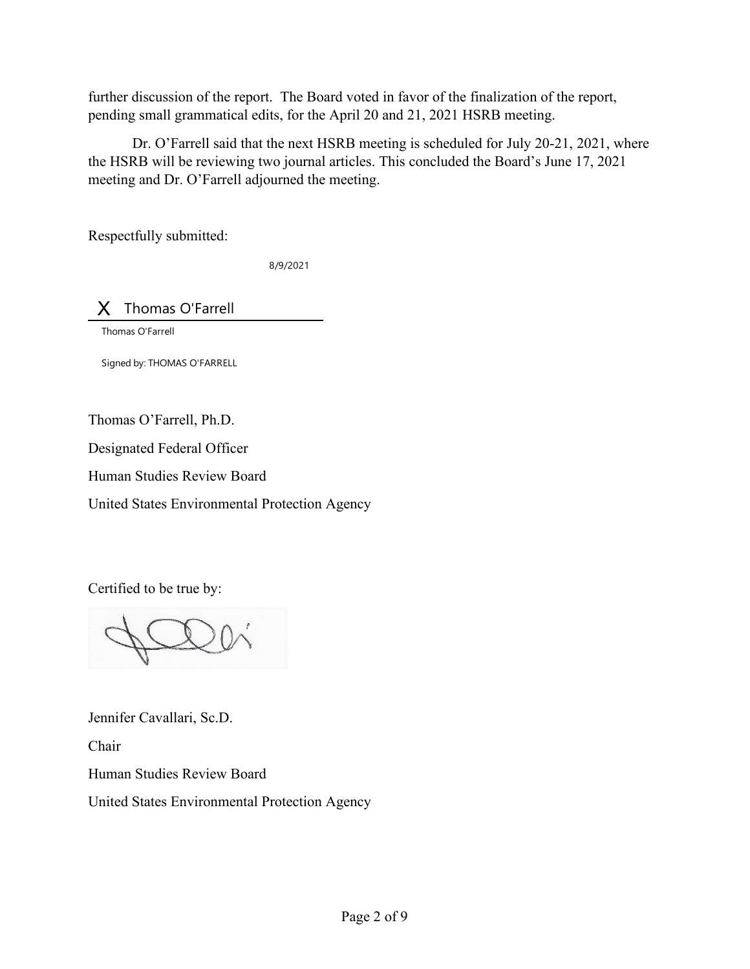further discussion of the report. The Board voted in favor of the finalization of the report, pending small grammatical edits, for the April 20 and 21, 2021 HSRB meeting.

Dr. O'Farrell said that the next HSRB meeting is scheduled for July 20-21, 2021, where the HSRB will be reviewing two journal articles. This concluded the Board's June 17, 2021 meeting and Dr. O'Farrell adjourned the meeting.

Respectfully submitted:

8/9/2021

X Thomas O'Farrell

Thomas O'Farrell

Signed by: THOMAS O'FARRELL

Thomas O'Farrell, Ph.D.

Designated Federal Officer

Human Studies Review Board

United States Environmental Protection Agency

Certified to be true by:

Jennifer Cavallari, Sc.D.

Chair

Human Studies Review Board

United States Environmental Protection Agency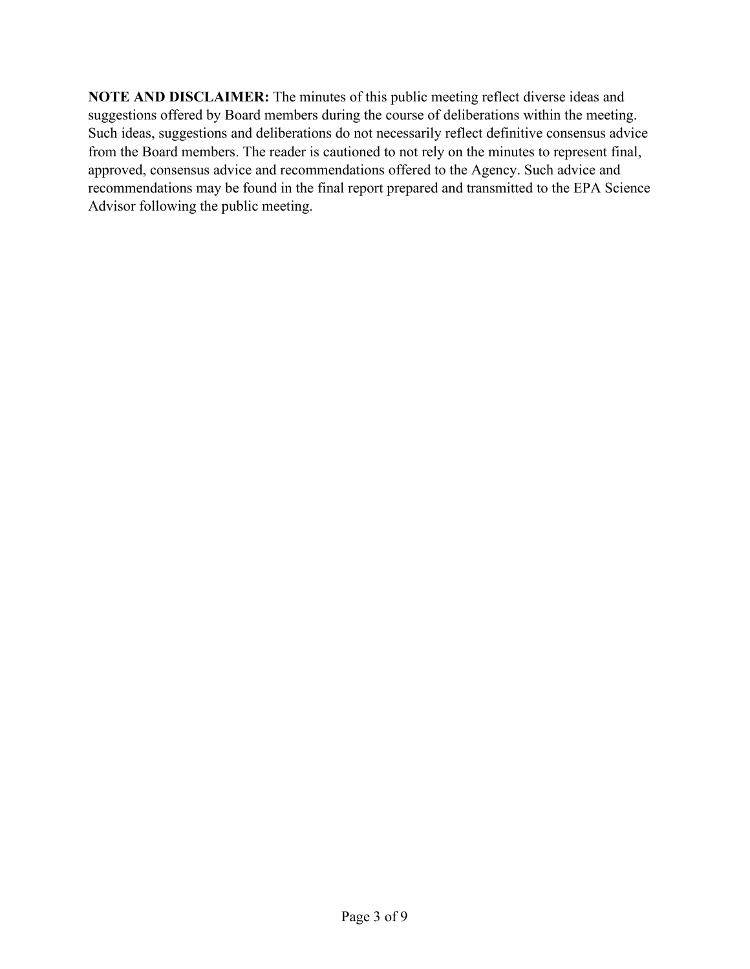**NOTE AND DISCLAIMER:** The minutes of this public meeting reflect diverse ideas and suggestions offered by Board members during the course of deliberations within the meeting. Such ideas, suggestions and deliberations do not necessarily reflect definitive consensus advice from the Board members. The reader is cautioned to not rely on the minutes to represent final, approved, consensus advice and recommendations offered to the Agency. Such advice and recommendations may be found in the final report prepared and transmitted to the EPA Science Advisor following the public meeting.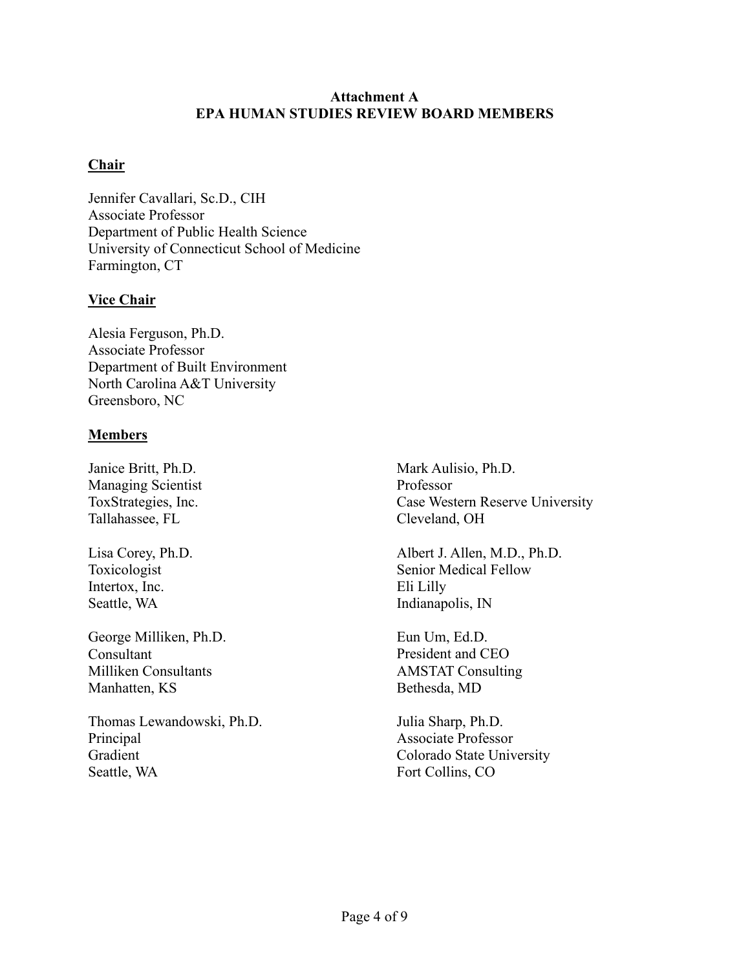### **Attachment A EPA HUMAN STUDIES REVIEW BOARD MEMBERS**

## **Chair**

Jennifer Cavallari, Sc.D., CIH Associate Professor Department of Public Health Science University of Connecticut School of Medicine Farmington, CT

## **Vice Chair**

Alesia Ferguson, Ph.D. Associate Professor Department of Built Environment North Carolina A&T University Greensboro, NC

## **Members**

Janice Britt, Ph.D. Managing Scientist ToxStrategies, Inc. Tallahassee, FL

Lisa Corey, Ph.D. Toxicologist Intertox, Inc. Seattle, WA

George Milliken, Ph.D. Consultant Milliken Consultants Manhatten, KS

Thomas Lewandowski, Ph.D. Principal Gradient Seattle, WA

Mark Aulisio, Ph.D. Professor Case Western Reserve University Cleveland, OH

Albert J. Allen, M.D., Ph.D. Senior Medical Fellow Eli Lilly Indianapolis, IN

Eun Um, Ed.D. President and CEO AMSTAT Consulting Bethesda, MD

Julia Sharp, Ph.D. Associate Professor Colorado State University Fort Collins, CO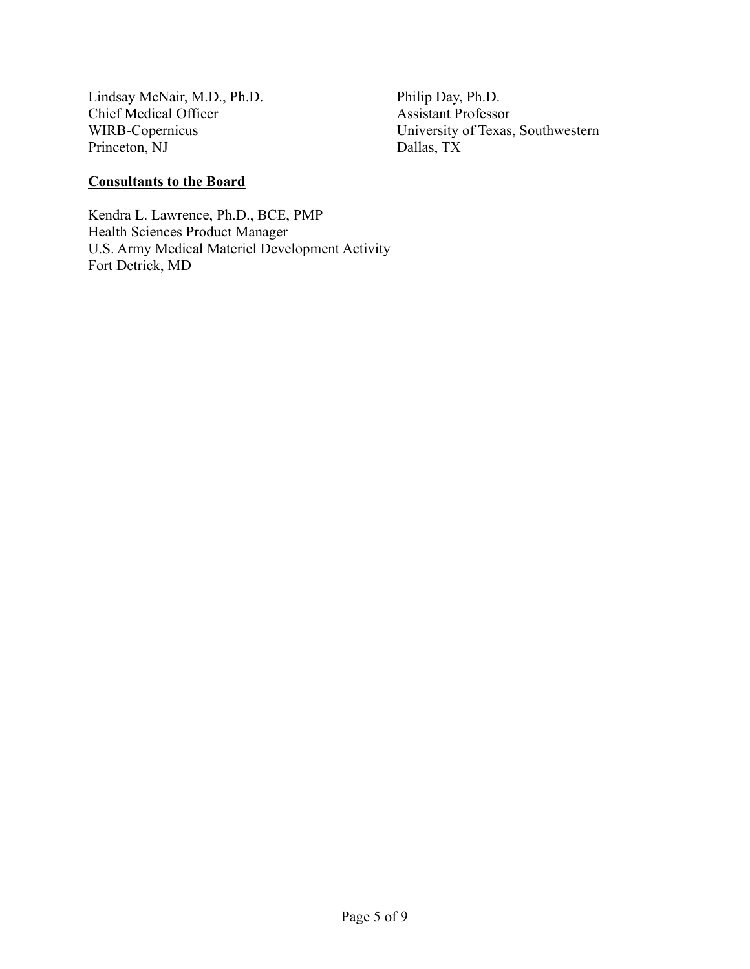Lindsay McNair, M.D., Ph.D. Philip Day, Ph.D. Chief Medical Officer<br>WIRB-Copernicus Princeton, NJ

University of Texas, Southwestern<br>Dallas, TX

## **Consultants to the Board**

Kendra L. Lawrence, Ph.D., BCE, PMP Health Sciences Product Manager U.S. Army Medical Materiel Development Activity Fort Detrick, MD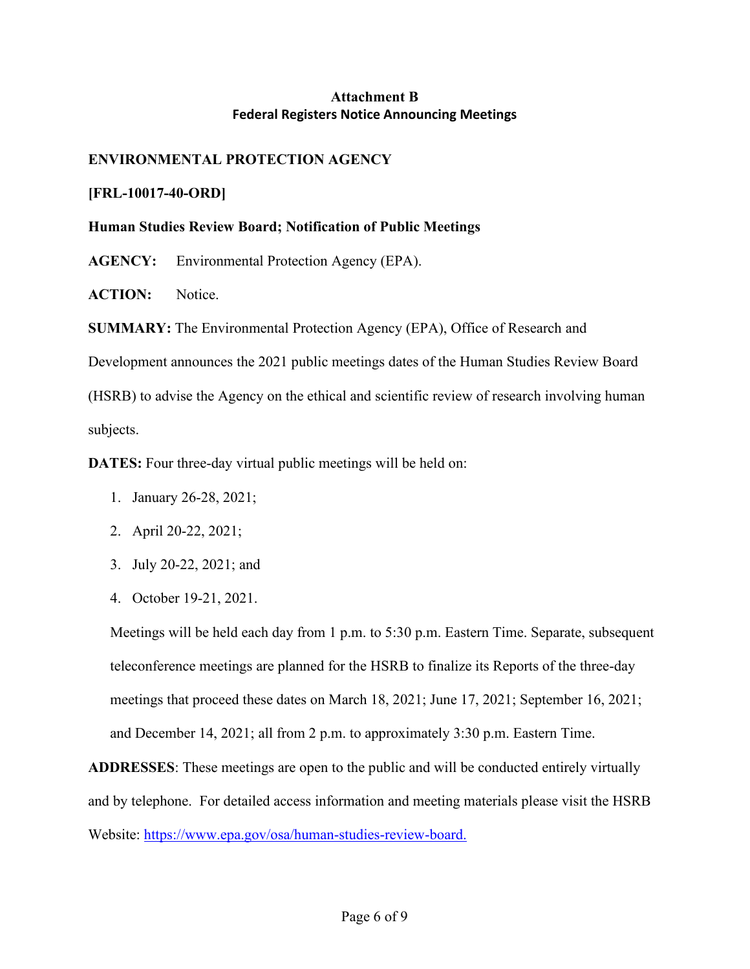# **Attachment B Federal Registers Notice Announcing Meetings**

# **ENVIRONMENTAL PROTECTION AGENCY**

### **[FRL-10017-40-ORD]**

### **Human Studies Review Board; Notification of Public Meetings**

**AGENCY:** Environmental Protection Agency (EPA).

**ACTION:** Notice.

**SUMMARY:** The Environmental Protection Agency (EPA), Office of Research and

Development announces the 2021 public meetings dates of the Human Studies Review Board

(HSRB) to advise the Agency on the ethical and scientific review of research involving human subjects.

**DATES:** Four three-day virtual public meetings will be held on:

- 1. January 26-28, 2021;
- 2. April 20-22, 2021;
- 3. July 20-22, 2021; and
- 4. October 19-21, 2021.

Meetings will be held each day from 1 p.m. to 5:30 p.m. Eastern Time. Separate, subsequent teleconference meetings are planned for the HSRB to finalize its Reports of the three-day meetings that proceed these dates on March 18, 2021; June 17, 2021; September 16, 2021; and December 14, 2021; all from 2 p.m. to approximately 3:30 p.m. Eastern Time.

**ADDRESSES**: These meetings are open to the public and will be conducted entirely virtually and by telephone. For detailed access information and meeting materials please visit the HSRB Website: [https://www.epa.gov/osa/human-studies-review-board.](https://www.epa.gov/osa/human-studies-review-board)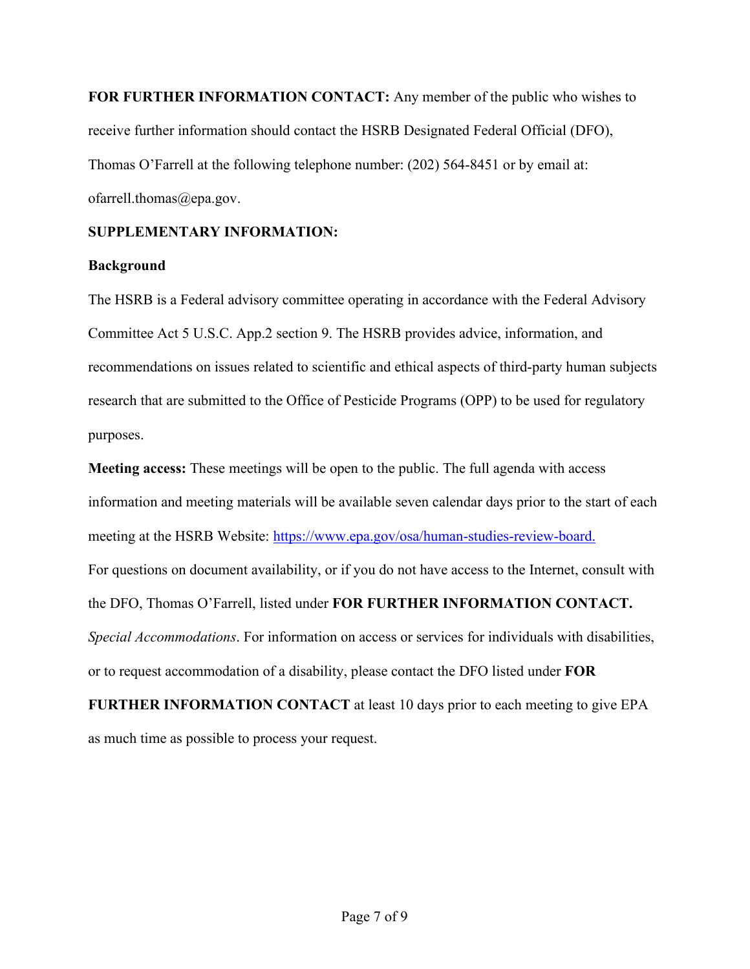**FOR FURTHER INFORMATION CONTACT:** Any member of the public who wishes to receive further information should contact the HSRB Designated Federal Official (DFO), Thomas O'Farrell at the following telephone number: (202) 564-8451 or by email at: ofarrell.thomas@epa.gov.

# **SUPPLEMENTARY INFORMATION:**

# **Background**

The HSRB is a Federal advisory committee operating in accordance with the Federal Advisory Committee Act 5 U.S.C. App.2 section 9. The HSRB provides advice, information, and recommendations on issues related to scientific and ethical aspects of third-party human subjects research that are submitted to the Office of Pesticide Programs (OPP) to be used for regulatory purposes.

**Meeting access:** These meetings will be open to the public. The full agenda with access information and meeting materials will be available seven calendar days prior to the start of each meeting at the HSRB Website: [https://www.epa.gov/osa/human-studies-review-board.](https://www.epa.gov/osa/human-studies-review-board) For questions on document availability, or if you do not have access to the Internet, consult with the DFO, Thomas O'Farrell, listed under **FOR FURTHER INFORMATION CONTACT.** *Special Accommodations*. For information on access or services for individuals with disabilities, or to request accommodation of a disability, please contact the DFO listed under **FOR FURTHER INFORMATION CONTACT** at least 10 days prior to each meeting to give EPA

as much time as possible to process your request.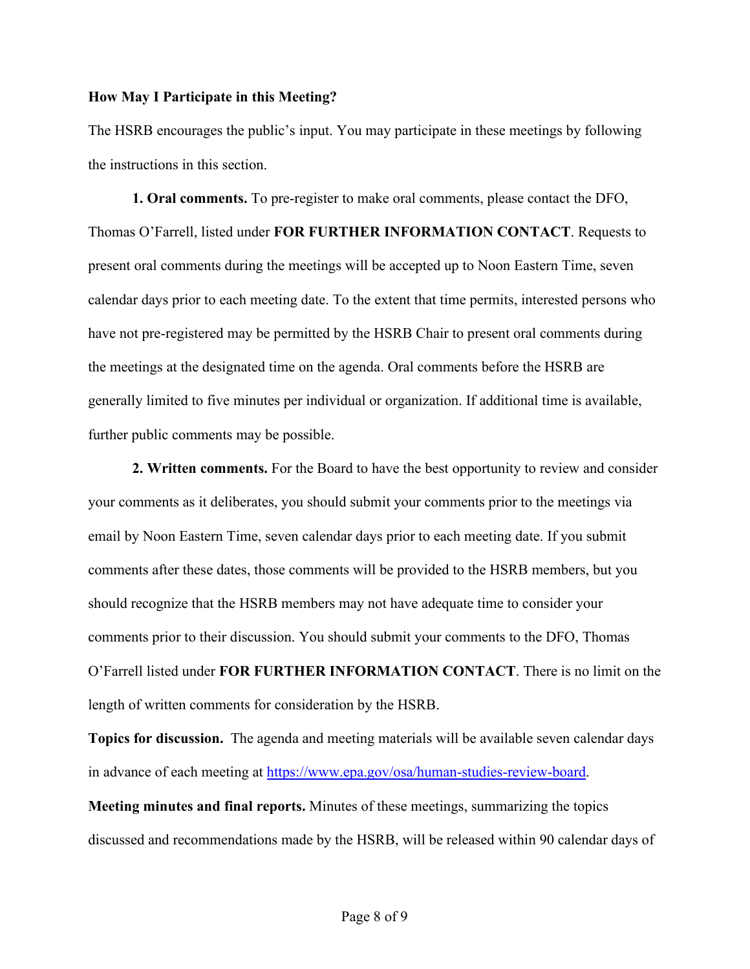#### **How May I Participate in this Meeting?**

The HSRB encourages the public's input. You may participate in these meetings by following the instructions in this section.

**1. Oral comments.** To pre-register to make oral comments, please contact the DFO, Thomas O'Farrell, listed under **FOR FURTHER INFORMATION CONTACT**. Requests to present oral comments during the meetings will be accepted up to Noon Eastern Time, seven calendar days prior to each meeting date. To the extent that time permits, interested persons who have not pre-registered may be permitted by the HSRB Chair to present oral comments during the meetings at the designated time on the agenda. Oral comments before the HSRB are generally limited to five minutes per individual or organization. If additional time is available, further public comments may be possible.

**2. Written comments.** For the Board to have the best opportunity to review and consider your comments as it deliberates, you should submit your comments prior to the meetings via email by Noon Eastern Time, seven calendar days prior to each meeting date. If you submit comments after these dates, those comments will be provided to the HSRB members, but you should recognize that the HSRB members may not have adequate time to consider your comments prior to their discussion. You should submit your comments to the DFO, Thomas O'Farrell listed under **FOR FURTHER INFORMATION CONTACT**. There is no limit on the length of written comments for consideration by the HSRB.

**Topics for discussion.** The agenda and meeting materials will be available seven calendar days in advance of each meeting at [https://www.epa.gov/osa/human-studies-review-board.](https://www.epa.gov/osa/human-studies-review-board) **Meeting minutes and final reports.** Minutes of these meetings, summarizing the topics discussed and recommendations made by the HSRB, will be released within 90 calendar days of